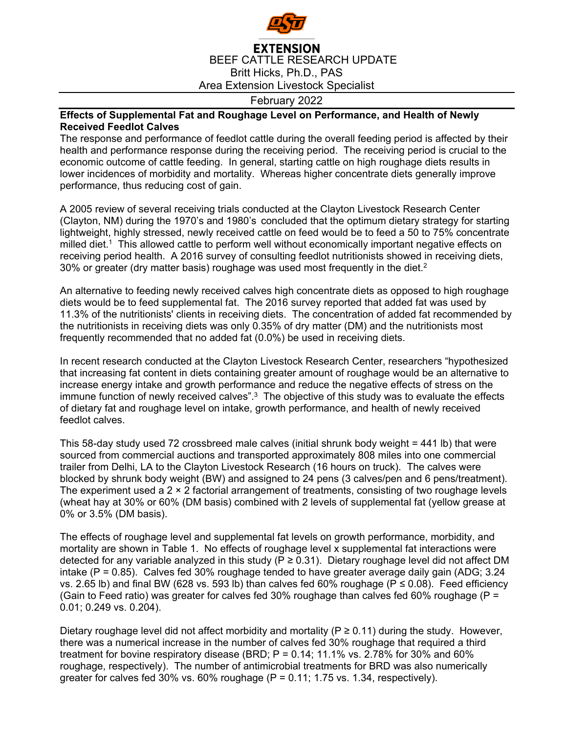

## **EXTENSION** BEEF CATTLE RESEARCH UPDATE Britt Hicks, Ph.D., PAS Area Extension Livestock Specialist

## February 2022

## **Effects of Supplemental Fat and Roughage Level on Performance, and Health of Newly Received Feedlot Calves**

The response and performance of feedlot cattle during the overall feeding period is affected by their health and performance response during the receiving period. The receiving period is crucial to the economic outcome of cattle feeding. In general, starting cattle on high roughage diets results in lower incidences of morbidity and mortality. Whereas higher concentrate diets generally improve performance, thus reducing cost of gain.

A 2005 review of several receiving trials conducted at the Clayton Livestock Research Center (Clayton, NM) during the 1970's and 1980's concluded that the optimum dietary strategy for starting lightweight, highly stressed, newly received cattle on feed would be to feed a 50 to 75% concentrate milled diet.<sup>1</sup> This allowed cattle to perform well without economically important negative effects on receiving period health. A 2016 survey of consulting feedlot nutritionists showed in receiving diets, 30% or greater (dry matter basis) roughage was used most frequently in the diet. $2^{\circ}$ 

An alternative to feeding newly received calves high concentrate diets as opposed to high roughage diets would be to feed supplemental fat. The 2016 survey reported that added fat was used by 11.3% of the nutritionists' clients in receiving diets. The concentration of added fat recommended by the nutritionists in receiving diets was only 0.35% of dry matter (DM) and the nutritionists most frequently recommended that no added fat (0.0%) be used in receiving diets.

In recent research conducted at the Clayton Livestock Research Center, researchers "hypothesized that increasing fat content in diets containing greater amount of roughage would be an alternative to increase energy intake and growth performance and reduce the negative effects of stress on the immune function of newly received calves".<sup>3</sup> The objective of this study was to evaluate the effects of dietary fat and roughage level on intake, growth performance, and health of newly received feedlot calves.

This 58-day study used 72 crossbreed male calves (initial shrunk body weight = 441 lb) that were sourced from commercial auctions and transported approximately 808 miles into one commercial trailer from Delhi, LA to the Clayton Livestock Research (16 hours on truck). The calves were blocked by shrunk body weight (BW) and assigned to 24 pens (3 calves/pen and 6 pens/treatment). The experiment used a 2 × 2 factorial arrangement of treatments, consisting of two roughage levels (wheat hay at 30% or 60% (DM basis) combined with 2 levels of supplemental fat (yellow grease at 0% or 3.5% (DM basis).

The effects of roughage level and supplemental fat levels on growth performance, morbidity, and mortality are shown in Table 1. No effects of roughage level x supplemental fat interactions were detected for any variable analyzed in this study (P ≥ 0.31). Dietary roughage level did not affect DM intake ( $P = 0.85$ ). Calves fed 30% roughage tended to have greater average daily gain (ADG; 3.24 vs. 2.65 lb) and final BW (628 vs. 593 lb) than calves fed 60% roughage ( $P ≤ 0.08$ ). Feed efficiency (Gain to Feed ratio) was greater for calves fed 30% roughage than calves fed 60% roughage ( $P =$ 0.01; 0.249 vs. 0.204).

Dietary roughage level did not affect morbidity and mortality ( $P \ge 0.11$ ) during the study. However, there was a numerical increase in the number of calves fed 30% roughage that required a third treatment for bovine respiratory disease (BRD;  $P = 0.14$ ; 11.1% vs. 2.78% for 30% and 60% roughage, respectively). The number of antimicrobial treatments for BRD was also numerically greater for calves fed 30% vs.  $60\%$  roughage (P = 0.11; 1.75 vs. 1.34, respectively).